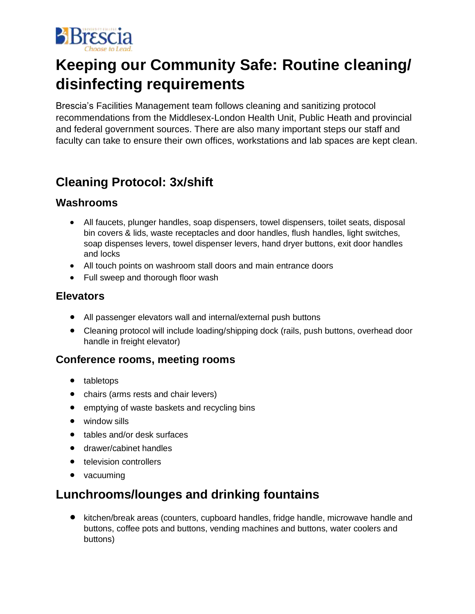

# **Keeping our Community Safe: Routine cleaning/ disinfecting requirements**

Brescia's Facilities Management team follows cleaning and sanitizing protocol recommendations from the Middlesex-London Health Unit, Public Heath and provincial and federal government sources. There are also many important steps our staff and faculty can take to ensure their own offices, workstations and lab spaces are kept clean.

## **Cleaning Protocol: 3x/shift**

### **Washrooms**

- All faucets, plunger handles, soap dispensers, towel dispensers, toilet seats, disposal bin covers & lids, waste receptacles and door handles, flush handles, light switches, soap dispenses levers, towel dispenser levers, hand dryer buttons, exit door handles and locks
- All touch points on washroom stall doors and main entrance doors
- Full sweep and thorough floor wash

### **Elevators**

- All passenger elevators wall and internal/external push buttons
- Cleaning protocol will include loading/shipping dock (rails, push buttons, overhead door handle in freight elevator)

### **Conference rooms, meeting rooms**

- tabletops
- chairs (arms rests and chair levers)
- emptying of waste baskets and recycling bins
- window sills
- tables and/or desk surfaces
- drawer/cabinet handles
- television controllers
- vacuuming

### **Lunchrooms/lounges and drinking fountains**

• kitchen/break areas (counters, cupboard handles, fridge handle, microwave handle and buttons, coffee pots and buttons, vending machines and buttons, water coolers and buttons)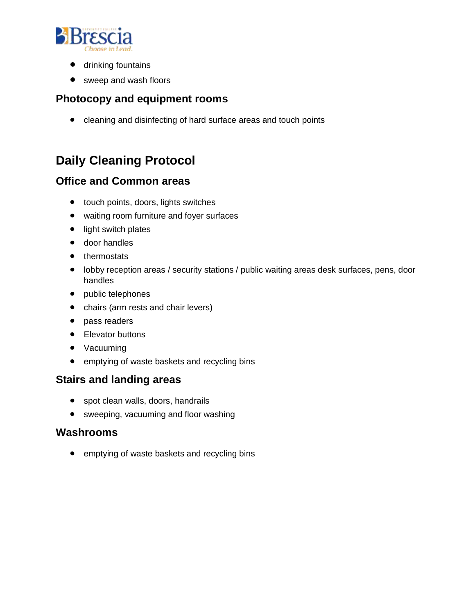

- drinking fountains
- sweep and wash floors

### **Photocopy and equipment rooms**

• cleaning and disinfecting of hard surface areas and touch points

## **Daily Cleaning Protocol**

### **Office and Common areas**

- touch points, doors, lights switches
- waiting room furniture and foyer surfaces
- light switch plates
- door handles
- thermostats
- lobby reception areas / security stations / public waiting areas desk surfaces, pens, door handles
- public telephones
- chairs (arm rests and chair levers)
- pass readers
- Elevator buttons
- Vacuuming
- emptying of waste baskets and recycling bins

### **Stairs and landing areas**

- spot clean walls, doors, handrails
- sweeping, vacuuming and floor washing

#### **Washrooms**

• emptying of waste baskets and recycling bins